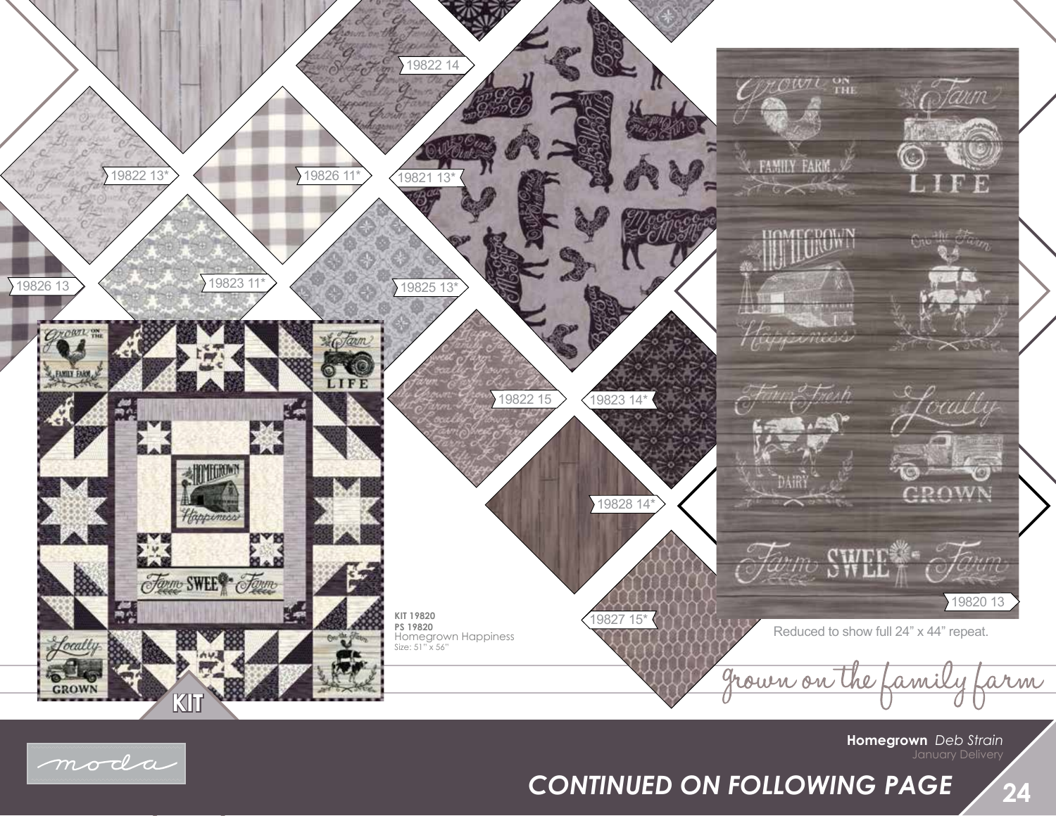

## moda

*CONTINUED ON FOLLOWING PAGE*

January Delivery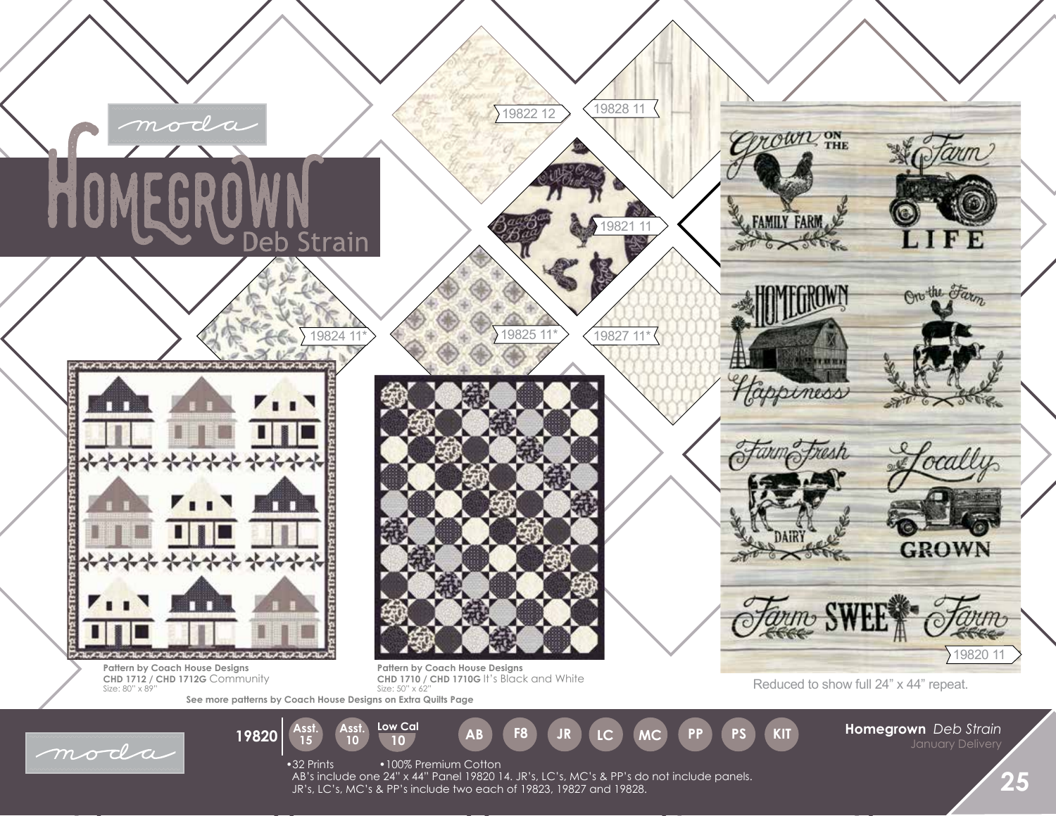